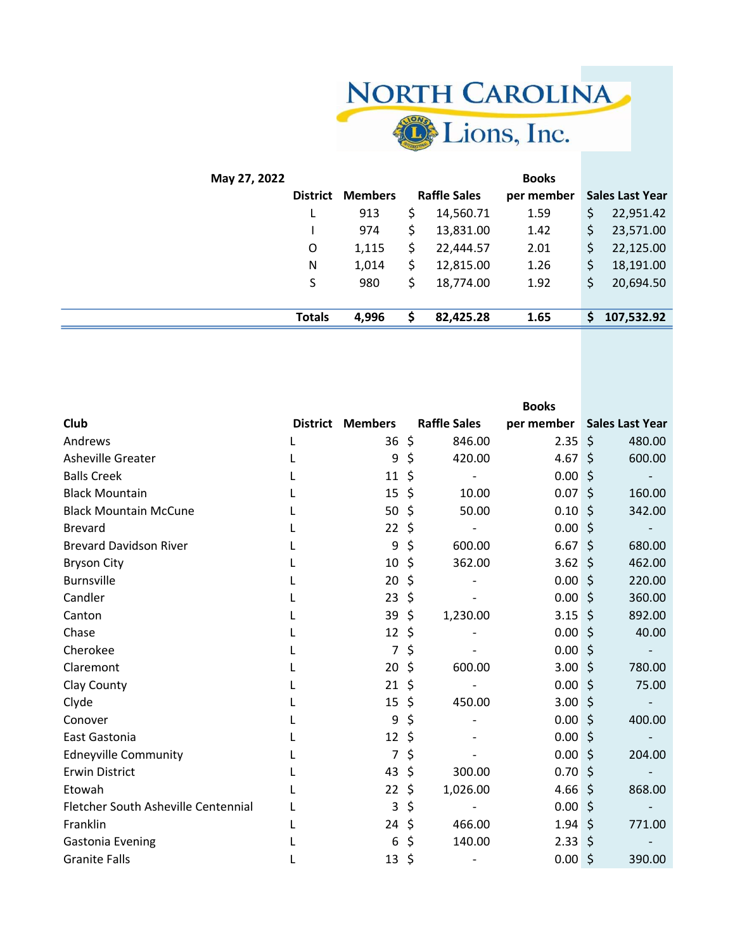

| May 27, 2022 |                 |                |    |                     | <b>Books</b> |                        |
|--------------|-----------------|----------------|----|---------------------|--------------|------------------------|
|              | <b>District</b> | <b>Members</b> |    | <b>Raffle Sales</b> | per member   | <b>Sales Last Year</b> |
|              |                 | 913            |    | 14,560.71           | 1.59         | \$<br>22,951.42        |
|              |                 | 974            |    | 13,831.00           | 1.42         | \$<br>23,571.00        |
|              | O               | 1,115          |    | 22,444.57           | 2.01         | \$<br>22,125.00        |
|              | N               | 1,014          | \$ | 12,815.00           | 1.26         | \$<br>18,191.00        |
|              | S               | 980            |    | 18,774.00           | 1.92         | \$<br>20,694.50        |
|              |                 |                |    |                     |              |                        |
|              | <b>Totals</b>   | 4,996          | S  | 82,425.28           | 1.65         | \$<br>107,532.92       |
|              |                 |                |    |                     |              |                        |

|                                     |   |                         |                                | <b>Books</b>      |         |                          |
|-------------------------------------|---|-------------------------|--------------------------------|-------------------|---------|--------------------------|
| Club                                |   | <b>District Members</b> | <b>Raffle Sales</b>            | per member        |         | <b>Sales Last Year</b>   |
| Andrews                             | L | $36 \;$ \$              | 846.00                         | 2.35              | $\zeta$ | 480.00                   |
| Asheville Greater                   |   | 9                       | \$<br>420.00                   | 4.67 \$           |         | 600.00                   |
| <b>Balls Creek</b>                  |   | 11                      | \$                             | 0.00              | $\zeta$ |                          |
| <b>Black Mountain</b>               |   | 15                      | \$<br>10.00                    | 0.07              | $\zeta$ | 160.00                   |
| <b>Black Mountain McCune</b>        |   | 50                      | \$<br>50.00                    | 0.10              | $\zeta$ | 342.00                   |
| <b>Brevard</b>                      |   | 22                      | \$                             | 0.00              | $\zeta$ | $\overline{\phantom{a}}$ |
| <b>Brevard Davidson River</b>       |   | 9                       | \$<br>600.00                   | $6.67\frac{1}{2}$ |         | 680.00                   |
| <b>Bryson City</b>                  |   | 10                      | \$<br>362.00                   | 3.62              | $\zeta$ | 462.00                   |
| <b>Burnsville</b>                   |   | 20                      | \$                             | 0.00              | \$      | 220.00                   |
| Candler                             |   | 23                      | \$                             | 0.00              | $\zeta$ | 360.00                   |
| Canton                              |   | 39                      | \$<br>1,230.00                 | 3.15              | \$      | 892.00                   |
| Chase                               |   | 12                      | \$                             | 0.00              | \$.     | 40.00                    |
| Cherokee                            |   | $\overline{7}$          | \$                             | 0.00              | \$      |                          |
| Claremont                           |   | 20                      | \$<br>600.00                   | 3.00              | \$      | 780.00                   |
| Clay County                         |   | 21                      | \$<br>$\overline{\phantom{a}}$ | 0.00              | $\zeta$ | 75.00                    |
| Clyde                               |   | 15                      | \$<br>450.00                   | 3.00              | \$      |                          |
| Conover                             |   | 9                       | \$                             | 0.00              | $\zeta$ | 400.00                   |
| East Gastonia                       |   | 12                      | \$                             | 0.00              | $\zeta$ |                          |
| <b>Edneyville Community</b>         |   | 7                       | \$                             | 0.00              | $\zeta$ | 204.00                   |
| <b>Erwin District</b>               |   | 43                      | \$<br>300.00                   | 0.70              | $\zeta$ |                          |
| Etowah                              |   | 22                      | \$<br>1,026.00                 | 4.66              | $\zeta$ | 868.00                   |
| Fletcher South Asheville Centennial |   | 3                       | \$                             | 0.00              | $\zeta$ |                          |
| Franklin                            |   | 24                      | \$<br>466.00                   | 1.94              | $\zeta$ | 771.00                   |
| <b>Gastonia Evening</b>             |   | 6                       | \$<br>140.00                   | 2.33              | $\zeta$ |                          |
| <b>Granite Falls</b>                |   | 13                      | \$                             | 0.00              | $\zeta$ | 390.00                   |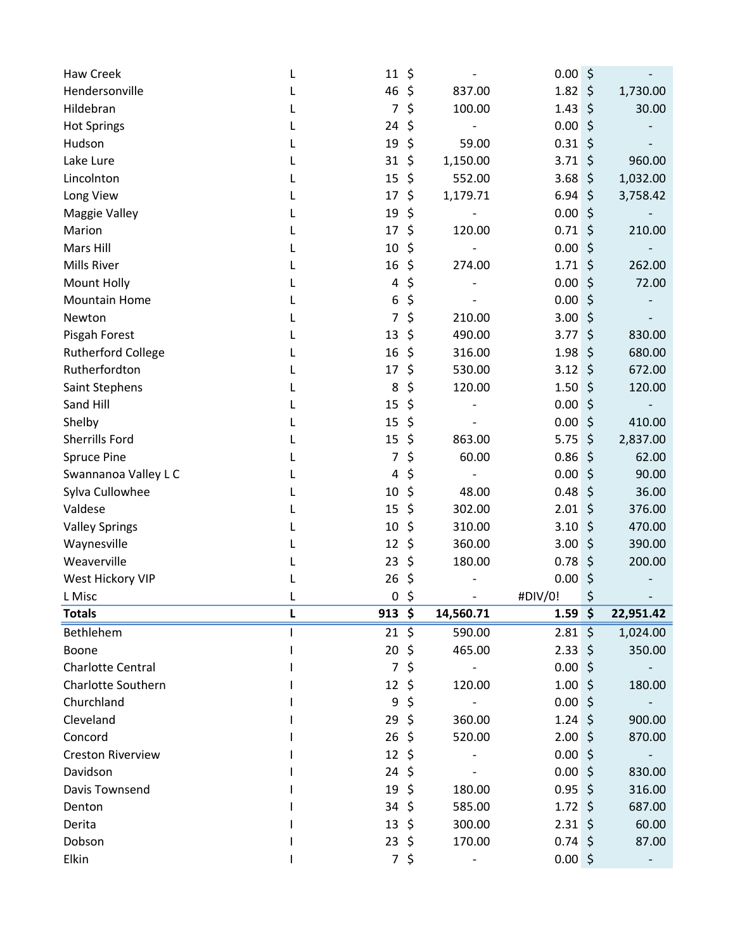| 46<br>1.82<br>Hendersonville<br>\$<br>837.00<br>$\zeta$<br>1,730.00<br>\$<br>1.43<br>\$<br>30.00<br>Hildebran<br>7<br>100.00<br>\$<br>0.00<br>\$<br><b>Hot Springs</b><br>24<br>\$<br>Hudson<br>19<br>0.31<br>\$<br>59.00<br>\$<br>1,150.00<br>$\zeta$<br>960.00<br>Lake Lure<br>31<br>3.71<br>Lincolnton<br>15<br>\$<br>552.00<br>3.68<br>\$<br>1,032.00<br>\$<br>6.94<br>$\zeta$<br>Long View<br>17<br>1,179.71<br>3,758.42<br>L<br>19<br>\$<br>0.00<br>$\zeta$<br>Maggie Valley<br>\$<br>120.00<br>\$<br>Marion<br>17<br>0.71<br>210.00<br>Mars Hill<br>10<br>\$<br>0.00<br>$\zeta$<br>$\zeta$<br><b>Mills River</b><br>16<br>\$<br>1.71<br>262.00<br>274.00<br>\$<br>$\zeta$<br>0.00<br>72.00<br>Mount Holly<br>4<br>L<br>\$<br>0.00<br>\$<br><b>Mountain Home</b><br>6<br>\$<br>210.00<br>3.00<br>7<br>\$<br>Newton<br>L<br>\$<br>490.00<br>$\zeta$<br>830.00<br>Pisgah Forest<br>13<br>3.77<br>\$<br><b>Rutherford College</b><br>16<br>\$<br>316.00<br>1.98<br>680.00<br>Rutherfordton<br>\$<br>530.00<br>3.12<br>$\zeta$<br>672.00<br>17<br>\$<br>8<br>120.00<br>1.50<br>\$<br>120.00<br>Saint Stephens<br>Sand Hill<br>\$<br>0.00<br>15<br>\$<br>Shelby<br>0.00<br>$\zeta$<br>15<br>\$<br>410.00<br>$\zeta$<br>Sherrills Ford<br>15<br>\$<br>863.00<br>5.75<br>2,837.00<br><b>Spruce Pine</b><br>\$<br>60.00<br>0.86<br>\$<br>62.00<br>7<br>\$<br>\$<br>0.00<br>90.00<br>Swannanoa Valley L C<br>4<br>\$<br>Sylva Cullowhee<br>48.00<br>0.48<br>$\zeta$<br>36.00<br>10<br>$\zeta$<br>Valdese<br>15<br>\$<br>302.00<br>2.01<br>376.00<br>10<br>\$<br>3.10<br>$\zeta$<br><b>Valley Springs</b><br>310.00<br>470.00<br>360.00<br>3.00<br>390.00<br>12<br>\$<br>\$<br>Waynesville<br>Weaverville<br>\$<br>180.00<br>0.78<br>\$<br>200.00<br>23<br>0.00<br>West Hickory VIP<br>\$<br>26<br>\$<br>\$<br>\$<br>L Misc<br>$\pmb{0}$<br>#DIV/0!<br><b>Totals</b><br>$913$ \$<br>14,560.71<br>$1.59$ \$<br>22,951.42<br>$2.81 \;$ \$<br>Bethlehem<br>\$<br>590.00<br>21<br>1,024.00<br>$20 \pm$<br>465.00<br>$2.33 \; \xi$<br>350.00<br>Boone<br>$\overline{7}$<br>0.00%<br><b>Charlotte Central</b><br>\$<br><b>Charlotte Southern</b><br>$1.00 \pm$<br>12, 5<br>120.00<br>180.00<br>Churchland<br>9<br>\$<br>0.00%<br>$1.24$ \$<br>29, 5<br>Cleveland<br>360.00<br>900.00<br>$26 \; \text{$}$<br>2.00%<br>Concord<br>520.00<br>870.00<br><b>Creston Riverview</b><br>12<br>0.00%<br>\$<br>$24 \;$ \$<br>0.00%<br>Davidson<br>830.00<br>Davis Townsend<br>19<br>$0.95$ \$<br>\$<br>180.00<br>316.00<br>$34 \;$ \$<br>$1.72 \div$<br>585.00<br>Denton<br>687.00<br>$2.31 \; \simeq$<br>60.00<br>Derita<br>13<br>\$<br>300.00<br>Dobson<br>23<br>\$<br>170.00<br>$0.74 \; \text{S}$<br>87.00<br>Elkin<br>7 <sup>7</sup><br>\$<br>$0.00$ \$ | <b>Haw Creek</b> | 11 | \$ | 0.00 <sub>1</sub> | \$ |
|------------------------------------------------------------------------------------------------------------------------------------------------------------------------------------------------------------------------------------------------------------------------------------------------------------------------------------------------------------------------------------------------------------------------------------------------------------------------------------------------------------------------------------------------------------------------------------------------------------------------------------------------------------------------------------------------------------------------------------------------------------------------------------------------------------------------------------------------------------------------------------------------------------------------------------------------------------------------------------------------------------------------------------------------------------------------------------------------------------------------------------------------------------------------------------------------------------------------------------------------------------------------------------------------------------------------------------------------------------------------------------------------------------------------------------------------------------------------------------------------------------------------------------------------------------------------------------------------------------------------------------------------------------------------------------------------------------------------------------------------------------------------------------------------------------------------------------------------------------------------------------------------------------------------------------------------------------------------------------------------------------------------------------------------------------------------------------------------------------------------------------------------------------------------------------------------------------------------------------------------------------------------------------------------------------------------------------------------------------------------------------------------------------------------------------------------------------------------------------------------------------------------------------------------------------------------------------------------------------------------------------------------------------------------------------------------------------------------------------------|------------------|----|----|-------------------|----|
|                                                                                                                                                                                                                                                                                                                                                                                                                                                                                                                                                                                                                                                                                                                                                                                                                                                                                                                                                                                                                                                                                                                                                                                                                                                                                                                                                                                                                                                                                                                                                                                                                                                                                                                                                                                                                                                                                                                                                                                                                                                                                                                                                                                                                                                                                                                                                                                                                                                                                                                                                                                                                                                                                                                                          |                  |    |    |                   |    |
|                                                                                                                                                                                                                                                                                                                                                                                                                                                                                                                                                                                                                                                                                                                                                                                                                                                                                                                                                                                                                                                                                                                                                                                                                                                                                                                                                                                                                                                                                                                                                                                                                                                                                                                                                                                                                                                                                                                                                                                                                                                                                                                                                                                                                                                                                                                                                                                                                                                                                                                                                                                                                                                                                                                                          |                  |    |    |                   |    |
|                                                                                                                                                                                                                                                                                                                                                                                                                                                                                                                                                                                                                                                                                                                                                                                                                                                                                                                                                                                                                                                                                                                                                                                                                                                                                                                                                                                                                                                                                                                                                                                                                                                                                                                                                                                                                                                                                                                                                                                                                                                                                                                                                                                                                                                                                                                                                                                                                                                                                                                                                                                                                                                                                                                                          |                  |    |    |                   |    |
|                                                                                                                                                                                                                                                                                                                                                                                                                                                                                                                                                                                                                                                                                                                                                                                                                                                                                                                                                                                                                                                                                                                                                                                                                                                                                                                                                                                                                                                                                                                                                                                                                                                                                                                                                                                                                                                                                                                                                                                                                                                                                                                                                                                                                                                                                                                                                                                                                                                                                                                                                                                                                                                                                                                                          |                  |    |    |                   |    |
|                                                                                                                                                                                                                                                                                                                                                                                                                                                                                                                                                                                                                                                                                                                                                                                                                                                                                                                                                                                                                                                                                                                                                                                                                                                                                                                                                                                                                                                                                                                                                                                                                                                                                                                                                                                                                                                                                                                                                                                                                                                                                                                                                                                                                                                                                                                                                                                                                                                                                                                                                                                                                                                                                                                                          |                  |    |    |                   |    |
|                                                                                                                                                                                                                                                                                                                                                                                                                                                                                                                                                                                                                                                                                                                                                                                                                                                                                                                                                                                                                                                                                                                                                                                                                                                                                                                                                                                                                                                                                                                                                                                                                                                                                                                                                                                                                                                                                                                                                                                                                                                                                                                                                                                                                                                                                                                                                                                                                                                                                                                                                                                                                                                                                                                                          |                  |    |    |                   |    |
|                                                                                                                                                                                                                                                                                                                                                                                                                                                                                                                                                                                                                                                                                                                                                                                                                                                                                                                                                                                                                                                                                                                                                                                                                                                                                                                                                                                                                                                                                                                                                                                                                                                                                                                                                                                                                                                                                                                                                                                                                                                                                                                                                                                                                                                                                                                                                                                                                                                                                                                                                                                                                                                                                                                                          |                  |    |    |                   |    |
|                                                                                                                                                                                                                                                                                                                                                                                                                                                                                                                                                                                                                                                                                                                                                                                                                                                                                                                                                                                                                                                                                                                                                                                                                                                                                                                                                                                                                                                                                                                                                                                                                                                                                                                                                                                                                                                                                                                                                                                                                                                                                                                                                                                                                                                                                                                                                                                                                                                                                                                                                                                                                                                                                                                                          |                  |    |    |                   |    |
|                                                                                                                                                                                                                                                                                                                                                                                                                                                                                                                                                                                                                                                                                                                                                                                                                                                                                                                                                                                                                                                                                                                                                                                                                                                                                                                                                                                                                                                                                                                                                                                                                                                                                                                                                                                                                                                                                                                                                                                                                                                                                                                                                                                                                                                                                                                                                                                                                                                                                                                                                                                                                                                                                                                                          |                  |    |    |                   |    |
|                                                                                                                                                                                                                                                                                                                                                                                                                                                                                                                                                                                                                                                                                                                                                                                                                                                                                                                                                                                                                                                                                                                                                                                                                                                                                                                                                                                                                                                                                                                                                                                                                                                                                                                                                                                                                                                                                                                                                                                                                                                                                                                                                                                                                                                                                                                                                                                                                                                                                                                                                                                                                                                                                                                                          |                  |    |    |                   |    |
|                                                                                                                                                                                                                                                                                                                                                                                                                                                                                                                                                                                                                                                                                                                                                                                                                                                                                                                                                                                                                                                                                                                                                                                                                                                                                                                                                                                                                                                                                                                                                                                                                                                                                                                                                                                                                                                                                                                                                                                                                                                                                                                                                                                                                                                                                                                                                                                                                                                                                                                                                                                                                                                                                                                                          |                  |    |    |                   |    |
|                                                                                                                                                                                                                                                                                                                                                                                                                                                                                                                                                                                                                                                                                                                                                                                                                                                                                                                                                                                                                                                                                                                                                                                                                                                                                                                                                                                                                                                                                                                                                                                                                                                                                                                                                                                                                                                                                                                                                                                                                                                                                                                                                                                                                                                                                                                                                                                                                                                                                                                                                                                                                                                                                                                                          |                  |    |    |                   |    |
|                                                                                                                                                                                                                                                                                                                                                                                                                                                                                                                                                                                                                                                                                                                                                                                                                                                                                                                                                                                                                                                                                                                                                                                                                                                                                                                                                                                                                                                                                                                                                                                                                                                                                                                                                                                                                                                                                                                                                                                                                                                                                                                                                                                                                                                                                                                                                                                                                                                                                                                                                                                                                                                                                                                                          |                  |    |    |                   |    |
|                                                                                                                                                                                                                                                                                                                                                                                                                                                                                                                                                                                                                                                                                                                                                                                                                                                                                                                                                                                                                                                                                                                                                                                                                                                                                                                                                                                                                                                                                                                                                                                                                                                                                                                                                                                                                                                                                                                                                                                                                                                                                                                                                                                                                                                                                                                                                                                                                                                                                                                                                                                                                                                                                                                                          |                  |    |    |                   |    |
|                                                                                                                                                                                                                                                                                                                                                                                                                                                                                                                                                                                                                                                                                                                                                                                                                                                                                                                                                                                                                                                                                                                                                                                                                                                                                                                                                                                                                                                                                                                                                                                                                                                                                                                                                                                                                                                                                                                                                                                                                                                                                                                                                                                                                                                                                                                                                                                                                                                                                                                                                                                                                                                                                                                                          |                  |    |    |                   |    |
|                                                                                                                                                                                                                                                                                                                                                                                                                                                                                                                                                                                                                                                                                                                                                                                                                                                                                                                                                                                                                                                                                                                                                                                                                                                                                                                                                                                                                                                                                                                                                                                                                                                                                                                                                                                                                                                                                                                                                                                                                                                                                                                                                                                                                                                                                                                                                                                                                                                                                                                                                                                                                                                                                                                                          |                  |    |    |                   |    |
|                                                                                                                                                                                                                                                                                                                                                                                                                                                                                                                                                                                                                                                                                                                                                                                                                                                                                                                                                                                                                                                                                                                                                                                                                                                                                                                                                                                                                                                                                                                                                                                                                                                                                                                                                                                                                                                                                                                                                                                                                                                                                                                                                                                                                                                                                                                                                                                                                                                                                                                                                                                                                                                                                                                                          |                  |    |    |                   |    |
|                                                                                                                                                                                                                                                                                                                                                                                                                                                                                                                                                                                                                                                                                                                                                                                                                                                                                                                                                                                                                                                                                                                                                                                                                                                                                                                                                                                                                                                                                                                                                                                                                                                                                                                                                                                                                                                                                                                                                                                                                                                                                                                                                                                                                                                                                                                                                                                                                                                                                                                                                                                                                                                                                                                                          |                  |    |    |                   |    |
|                                                                                                                                                                                                                                                                                                                                                                                                                                                                                                                                                                                                                                                                                                                                                                                                                                                                                                                                                                                                                                                                                                                                                                                                                                                                                                                                                                                                                                                                                                                                                                                                                                                                                                                                                                                                                                                                                                                                                                                                                                                                                                                                                                                                                                                                                                                                                                                                                                                                                                                                                                                                                                                                                                                                          |                  |    |    |                   |    |
|                                                                                                                                                                                                                                                                                                                                                                                                                                                                                                                                                                                                                                                                                                                                                                                                                                                                                                                                                                                                                                                                                                                                                                                                                                                                                                                                                                                                                                                                                                                                                                                                                                                                                                                                                                                                                                                                                                                                                                                                                                                                                                                                                                                                                                                                                                                                                                                                                                                                                                                                                                                                                                                                                                                                          |                  |    |    |                   |    |
|                                                                                                                                                                                                                                                                                                                                                                                                                                                                                                                                                                                                                                                                                                                                                                                                                                                                                                                                                                                                                                                                                                                                                                                                                                                                                                                                                                                                                                                                                                                                                                                                                                                                                                                                                                                                                                                                                                                                                                                                                                                                                                                                                                                                                                                                                                                                                                                                                                                                                                                                                                                                                                                                                                                                          |                  |    |    |                   |    |
|                                                                                                                                                                                                                                                                                                                                                                                                                                                                                                                                                                                                                                                                                                                                                                                                                                                                                                                                                                                                                                                                                                                                                                                                                                                                                                                                                                                                                                                                                                                                                                                                                                                                                                                                                                                                                                                                                                                                                                                                                                                                                                                                                                                                                                                                                                                                                                                                                                                                                                                                                                                                                                                                                                                                          |                  |    |    |                   |    |
|                                                                                                                                                                                                                                                                                                                                                                                                                                                                                                                                                                                                                                                                                                                                                                                                                                                                                                                                                                                                                                                                                                                                                                                                                                                                                                                                                                                                                                                                                                                                                                                                                                                                                                                                                                                                                                                                                                                                                                                                                                                                                                                                                                                                                                                                                                                                                                                                                                                                                                                                                                                                                                                                                                                                          |                  |    |    |                   |    |
|                                                                                                                                                                                                                                                                                                                                                                                                                                                                                                                                                                                                                                                                                                                                                                                                                                                                                                                                                                                                                                                                                                                                                                                                                                                                                                                                                                                                                                                                                                                                                                                                                                                                                                                                                                                                                                                                                                                                                                                                                                                                                                                                                                                                                                                                                                                                                                                                                                                                                                                                                                                                                                                                                                                                          |                  |    |    |                   |    |
|                                                                                                                                                                                                                                                                                                                                                                                                                                                                                                                                                                                                                                                                                                                                                                                                                                                                                                                                                                                                                                                                                                                                                                                                                                                                                                                                                                                                                                                                                                                                                                                                                                                                                                                                                                                                                                                                                                                                                                                                                                                                                                                                                                                                                                                                                                                                                                                                                                                                                                                                                                                                                                                                                                                                          |                  |    |    |                   |    |
|                                                                                                                                                                                                                                                                                                                                                                                                                                                                                                                                                                                                                                                                                                                                                                                                                                                                                                                                                                                                                                                                                                                                                                                                                                                                                                                                                                                                                                                                                                                                                                                                                                                                                                                                                                                                                                                                                                                                                                                                                                                                                                                                                                                                                                                                                                                                                                                                                                                                                                                                                                                                                                                                                                                                          |                  |    |    |                   |    |
|                                                                                                                                                                                                                                                                                                                                                                                                                                                                                                                                                                                                                                                                                                                                                                                                                                                                                                                                                                                                                                                                                                                                                                                                                                                                                                                                                                                                                                                                                                                                                                                                                                                                                                                                                                                                                                                                                                                                                                                                                                                                                                                                                                                                                                                                                                                                                                                                                                                                                                                                                                                                                                                                                                                                          |                  |    |    |                   |    |
|                                                                                                                                                                                                                                                                                                                                                                                                                                                                                                                                                                                                                                                                                                                                                                                                                                                                                                                                                                                                                                                                                                                                                                                                                                                                                                                                                                                                                                                                                                                                                                                                                                                                                                                                                                                                                                                                                                                                                                                                                                                                                                                                                                                                                                                                                                                                                                                                                                                                                                                                                                                                                                                                                                                                          |                  |    |    |                   |    |
|                                                                                                                                                                                                                                                                                                                                                                                                                                                                                                                                                                                                                                                                                                                                                                                                                                                                                                                                                                                                                                                                                                                                                                                                                                                                                                                                                                                                                                                                                                                                                                                                                                                                                                                                                                                                                                                                                                                                                                                                                                                                                                                                                                                                                                                                                                                                                                                                                                                                                                                                                                                                                                                                                                                                          |                  |    |    |                   |    |
|                                                                                                                                                                                                                                                                                                                                                                                                                                                                                                                                                                                                                                                                                                                                                                                                                                                                                                                                                                                                                                                                                                                                                                                                                                                                                                                                                                                                                                                                                                                                                                                                                                                                                                                                                                                                                                                                                                                                                                                                                                                                                                                                                                                                                                                                                                                                                                                                                                                                                                                                                                                                                                                                                                                                          |                  |    |    |                   |    |
|                                                                                                                                                                                                                                                                                                                                                                                                                                                                                                                                                                                                                                                                                                                                                                                                                                                                                                                                                                                                                                                                                                                                                                                                                                                                                                                                                                                                                                                                                                                                                                                                                                                                                                                                                                                                                                                                                                                                                                                                                                                                                                                                                                                                                                                                                                                                                                                                                                                                                                                                                                                                                                                                                                                                          |                  |    |    |                   |    |
|                                                                                                                                                                                                                                                                                                                                                                                                                                                                                                                                                                                                                                                                                                                                                                                                                                                                                                                                                                                                                                                                                                                                                                                                                                                                                                                                                                                                                                                                                                                                                                                                                                                                                                                                                                                                                                                                                                                                                                                                                                                                                                                                                                                                                                                                                                                                                                                                                                                                                                                                                                                                                                                                                                                                          |                  |    |    |                   |    |
|                                                                                                                                                                                                                                                                                                                                                                                                                                                                                                                                                                                                                                                                                                                                                                                                                                                                                                                                                                                                                                                                                                                                                                                                                                                                                                                                                                                                                                                                                                                                                                                                                                                                                                                                                                                                                                                                                                                                                                                                                                                                                                                                                                                                                                                                                                                                                                                                                                                                                                                                                                                                                                                                                                                                          |                  |    |    |                   |    |
|                                                                                                                                                                                                                                                                                                                                                                                                                                                                                                                                                                                                                                                                                                                                                                                                                                                                                                                                                                                                                                                                                                                                                                                                                                                                                                                                                                                                                                                                                                                                                                                                                                                                                                                                                                                                                                                                                                                                                                                                                                                                                                                                                                                                                                                                                                                                                                                                                                                                                                                                                                                                                                                                                                                                          |                  |    |    |                   |    |
|                                                                                                                                                                                                                                                                                                                                                                                                                                                                                                                                                                                                                                                                                                                                                                                                                                                                                                                                                                                                                                                                                                                                                                                                                                                                                                                                                                                                                                                                                                                                                                                                                                                                                                                                                                                                                                                                                                                                                                                                                                                                                                                                                                                                                                                                                                                                                                                                                                                                                                                                                                                                                                                                                                                                          |                  |    |    |                   |    |
|                                                                                                                                                                                                                                                                                                                                                                                                                                                                                                                                                                                                                                                                                                                                                                                                                                                                                                                                                                                                                                                                                                                                                                                                                                                                                                                                                                                                                                                                                                                                                                                                                                                                                                                                                                                                                                                                                                                                                                                                                                                                                                                                                                                                                                                                                                                                                                                                                                                                                                                                                                                                                                                                                                                                          |                  |    |    |                   |    |
|                                                                                                                                                                                                                                                                                                                                                                                                                                                                                                                                                                                                                                                                                                                                                                                                                                                                                                                                                                                                                                                                                                                                                                                                                                                                                                                                                                                                                                                                                                                                                                                                                                                                                                                                                                                                                                                                                                                                                                                                                                                                                                                                                                                                                                                                                                                                                                                                                                                                                                                                                                                                                                                                                                                                          |                  |    |    |                   |    |
|                                                                                                                                                                                                                                                                                                                                                                                                                                                                                                                                                                                                                                                                                                                                                                                                                                                                                                                                                                                                                                                                                                                                                                                                                                                                                                                                                                                                                                                                                                                                                                                                                                                                                                                                                                                                                                                                                                                                                                                                                                                                                                                                                                                                                                                                                                                                                                                                                                                                                                                                                                                                                                                                                                                                          |                  |    |    |                   |    |
|                                                                                                                                                                                                                                                                                                                                                                                                                                                                                                                                                                                                                                                                                                                                                                                                                                                                                                                                                                                                                                                                                                                                                                                                                                                                                                                                                                                                                                                                                                                                                                                                                                                                                                                                                                                                                                                                                                                                                                                                                                                                                                                                                                                                                                                                                                                                                                                                                                                                                                                                                                                                                                                                                                                                          |                  |    |    |                   |    |
|                                                                                                                                                                                                                                                                                                                                                                                                                                                                                                                                                                                                                                                                                                                                                                                                                                                                                                                                                                                                                                                                                                                                                                                                                                                                                                                                                                                                                                                                                                                                                                                                                                                                                                                                                                                                                                                                                                                                                                                                                                                                                                                                                                                                                                                                                                                                                                                                                                                                                                                                                                                                                                                                                                                                          |                  |    |    |                   |    |
|                                                                                                                                                                                                                                                                                                                                                                                                                                                                                                                                                                                                                                                                                                                                                                                                                                                                                                                                                                                                                                                                                                                                                                                                                                                                                                                                                                                                                                                                                                                                                                                                                                                                                                                                                                                                                                                                                                                                                                                                                                                                                                                                                                                                                                                                                                                                                                                                                                                                                                                                                                                                                                                                                                                                          |                  |    |    |                   |    |
|                                                                                                                                                                                                                                                                                                                                                                                                                                                                                                                                                                                                                                                                                                                                                                                                                                                                                                                                                                                                                                                                                                                                                                                                                                                                                                                                                                                                                                                                                                                                                                                                                                                                                                                                                                                                                                                                                                                                                                                                                                                                                                                                                                                                                                                                                                                                                                                                                                                                                                                                                                                                                                                                                                                                          |                  |    |    |                   |    |
|                                                                                                                                                                                                                                                                                                                                                                                                                                                                                                                                                                                                                                                                                                                                                                                                                                                                                                                                                                                                                                                                                                                                                                                                                                                                                                                                                                                                                                                                                                                                                                                                                                                                                                                                                                                                                                                                                                                                                                                                                                                                                                                                                                                                                                                                                                                                                                                                                                                                                                                                                                                                                                                                                                                                          |                  |    |    |                   |    |
|                                                                                                                                                                                                                                                                                                                                                                                                                                                                                                                                                                                                                                                                                                                                                                                                                                                                                                                                                                                                                                                                                                                                                                                                                                                                                                                                                                                                                                                                                                                                                                                                                                                                                                                                                                                                                                                                                                                                                                                                                                                                                                                                                                                                                                                                                                                                                                                                                                                                                                                                                                                                                                                                                                                                          |                  |    |    |                   |    |
|                                                                                                                                                                                                                                                                                                                                                                                                                                                                                                                                                                                                                                                                                                                                                                                                                                                                                                                                                                                                                                                                                                                                                                                                                                                                                                                                                                                                                                                                                                                                                                                                                                                                                                                                                                                                                                                                                                                                                                                                                                                                                                                                                                                                                                                                                                                                                                                                                                                                                                                                                                                                                                                                                                                                          |                  |    |    |                   |    |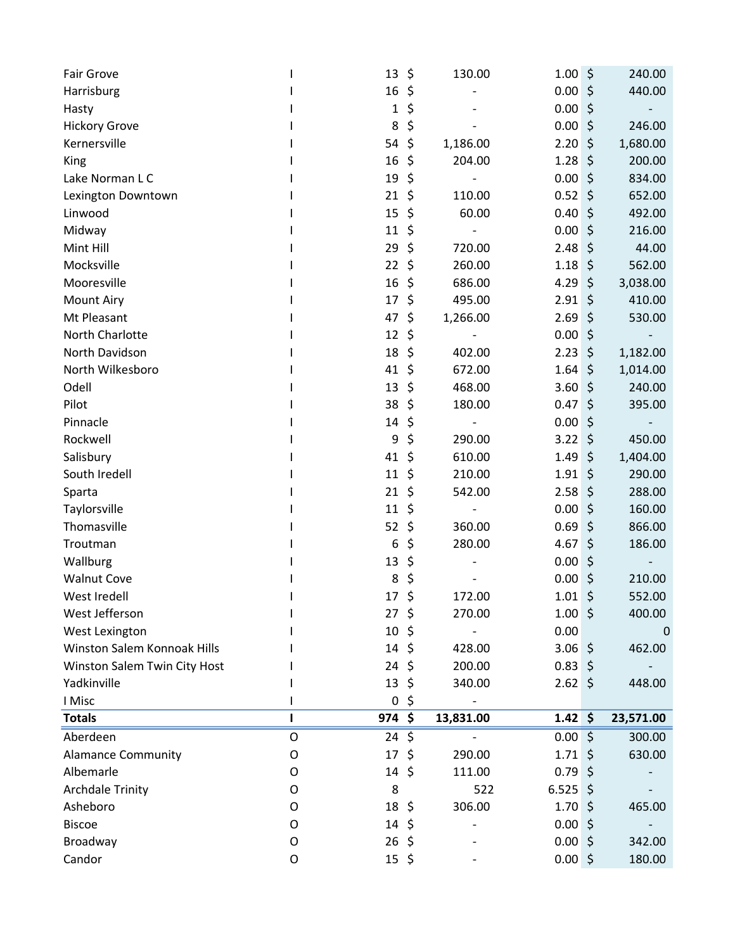| \$<br>\$<br>130.00<br>Fair Grove<br>13<br>1.00 <sub>1</sub>             | 240.00    |
|-------------------------------------------------------------------------|-----------|
| 0.00%<br>16<br>Harrisburg<br>\$                                         | 440.00    |
| \$<br>0.00<br>$\zeta$<br>Hasty<br>1                                     |           |
| \$<br>8<br>0.00<br>$\zeta$<br><b>Hickory Grove</b>                      | 246.00    |
| \$<br>1,186.00<br>2.20<br>\$<br>Kernersville<br>54                      | 1,680.00  |
| \$<br>16<br>1.28<br>$\zeta$<br>204.00<br>King                           | 200.00    |
| 0.00<br>19<br>\$<br>$\zeta$<br>Lake Norman L C                          | 834.00    |
| \$<br>0.52<br>$\zeta$<br>Lexington Downtown<br>21<br>110.00             | 652.00    |
| 15<br>\$<br>60.00<br>0.40<br>\$<br>Linwood                              | 492.00    |
| \$<br>0.00%<br>Midway<br>11                                             | 216.00    |
| Mint Hill<br>29<br>\$<br>720.00<br>2.48<br>$\zeta$                      | 44.00     |
| \$<br>Mocksville<br>22<br>\$<br>260.00<br>1.18                          | 562.00    |
| \$<br>Mooresville<br>16<br>686.00<br>4.29 \$                            | 3,038.00  |
| \$<br>2.91<br>\$<br><b>Mount Airy</b><br>17<br>495.00                   | 410.00    |
| Mt Pleasant<br>\$<br>2.69<br>$\zeta$<br>47<br>1,266.00                  | 530.00    |
| North Charlotte<br>12<br>0.00<br>\$<br>\$                               |           |
| North Davidson<br>18<br>\$<br>2.23<br>\$<br>402.00                      | 1,182.00  |
| North Wilkesboro<br>\$<br>1.64<br>\$<br>41<br>672.00                    | 1,014.00  |
| Odell<br>13<br>\$<br>468.00<br>3.60<br>\$                               | 240.00    |
| Pilot<br>38<br>\$<br>180.00<br>$\zeta$<br>0.47                          | 395.00    |
| Pinnacle<br>0.00<br>14<br>\$<br>\$                                      |           |
| \$<br>Rockwell<br>9<br>290.00<br>3.22<br>$\zeta$                        | 450.00    |
| Salisbury<br>41<br>\$<br>610.00<br>1.49<br>\$                           | 1,404.00  |
| South Iredell<br>\$<br>\$<br>11<br>210.00<br>1.91                       | 290.00    |
| \$<br>542.00<br>2.58<br>$\zeta$<br>21<br>Sparta                         | 288.00    |
| 0.00<br>Taylorsville<br>11<br>\$<br>$\zeta$<br>$\overline{\phantom{a}}$ | 160.00    |
| Thomasville<br>\$<br>360.00<br>$0.69$ \$<br>52                          | 866.00    |
| 4.67<br>Troutman<br>6<br>\$<br>280.00<br>\$                             | 186.00    |
| \$<br>Wallburg<br>13<br>0.00 <sub>1</sub><br>$\zeta$                    |           |
| <b>Walnut Cove</b><br>8<br>\$<br>0.00<br>\$                             | 210.00    |
| \$<br>17<br>172.00<br>1.01<br>\$<br>West Iredell                        | 552.00    |
| $27 \frac{2}{3}$<br>West Jefferson<br>270.00<br>$1.00 \div$             | 400.00    |
| 0.00<br>West Lexington<br>10, 5                                         | 0         |
| Winston Salem Konnoak Hills<br>$14 \; \text{S}$<br>3.06%<br>428.00      | 462.00    |
| $0.83$ \$<br>Winston Salem Twin City Host<br>24<br>\$<br>200.00         |           |
| Yadkinville<br>13<br>\$<br>340.00<br>$2.62 \div$                        | 448.00    |
| I Misc<br>0<br>\$                                                       |           |
| 974 \$<br>$1.42 \div$<br><b>Totals</b><br>п<br>13,831.00                | 23,571.00 |
| Aberdeen<br>$\mathsf O$<br>$24 \;$ \$<br>0.00%                          | 300.00    |
| <b>Alamance Community</b><br>17<br>\$<br>290.00<br>$1.71 \;$ \$<br>0    | 630.00    |
| Albemarle<br>$14 \;$ \$<br>111.00<br>$0.79$ \$<br>O                     |           |
| $6.525$ \$<br><b>Archdale Trinity</b><br>8<br>522<br>O                  |           |
| Asheboro<br>18, 5<br>306.00<br>$1.70 \pm$<br>O                          | 465.00    |
| <b>Biscoe</b><br>0.00%<br>14<br>\$<br>O                                 |           |
| Broadway<br>0.00%<br>O<br>$26 \; \zeta$                                 | 342.00    |
| Candor<br>$0.00$ \$<br>$15 \; \xi$<br>O                                 | 180.00    |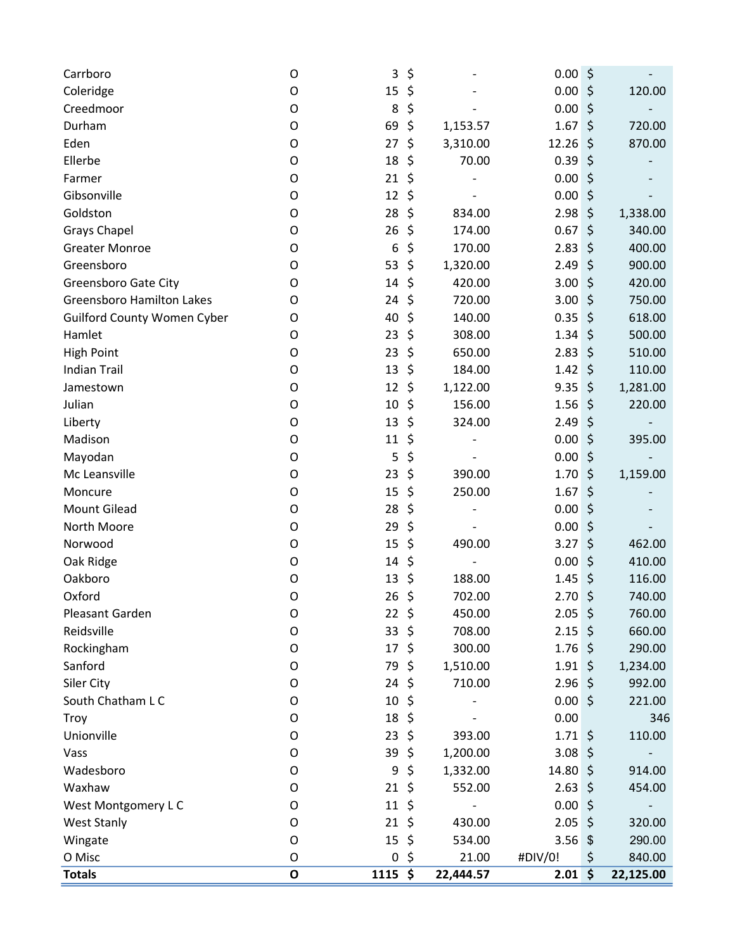| Carrboro                           | 0 | 3               | \$             | 0.00               | \$      |           |
|------------------------------------|---|-----------------|----------------|--------------------|---------|-----------|
| Coleridge                          | O | 15              | \$             | 0.00%              |         | 120.00    |
| Creedmoor                          | O | 8               | \$             | 0.00               | $\zeta$ |           |
| Durham                             | 0 | 69              | \$<br>1,153.57 | 1.67               | $\zeta$ | 720.00    |
| Eden                               | O | 27              | \$<br>3,310.00 | 12.26              | $\zeta$ | 870.00    |
| Ellerbe                            | O | 18              | \$<br>70.00    | 0.39               | \$      |           |
| Farmer                             | O | 21              | \$             | 0.00               | \$      |           |
| Gibsonville                        | O | 12              | \$             | 0.00               | $\zeta$ |           |
| Goldston                           | 0 | 28              | \$<br>834.00   | 2.98               | $\zeta$ | 1,338.00  |
| <b>Grays Chapel</b>                | O | 26              | \$<br>174.00   | 0.67               | \$      | 340.00    |
| <b>Greater Monroe</b>              | O | 6               | \$<br>170.00   | 2.83               | \$      | 400.00    |
| Greensboro                         | O | 53              | \$<br>1,320.00 | 2.49               | $\zeta$ | 900.00    |
| <b>Greensboro Gate City</b>        | O | 14              | \$<br>420.00   | 3.00               | $\zeta$ | 420.00    |
| <b>Greensboro Hamilton Lakes</b>   | O | 24              | \$<br>720.00   | 3.00               | \$      | 750.00    |
| <b>Guilford County Women Cyber</b> | O | 40              | \$<br>140.00   | 0.35               | $\zeta$ | 618.00    |
| Hamlet                             | O | 23              | \$<br>308.00   | 1.34               | $\zeta$ | 500.00    |
| <b>High Point</b>                  | O | 23              | \$<br>650.00   | 2.83               | $\zeta$ | 510.00    |
| <b>Indian Trail</b>                | O | 13              | \$<br>184.00   | 1.42               | $\zeta$ | 110.00    |
| Jamestown                          | O | 12              | \$<br>1,122.00 | 9.35               | \$      | 1,281.00  |
| Julian                             | O | 10              | \$<br>156.00   | 1.56               | $\zeta$ | 220.00    |
| Liberty                            | O | 13              | \$<br>324.00   | 2.49               | $\zeta$ |           |
| Madison                            | 0 | 11              | \$             | 0.00               | $\zeta$ | 395.00    |
| Mayodan                            | O | 5               | \$             | 0.00               | \$      |           |
| Mc Leansville                      | O | 23              | \$<br>390.00   | 1.70               | \$      | 1,159.00  |
| Moncure                            | O | 15              | \$<br>250.00   | 1.67               | $\zeta$ |           |
| <b>Mount Gilead</b>                | O | 28              | \$             | 0.00               | \$      |           |
| North Moore                        | 0 | 29              | \$             | 0.00%              |         |           |
| Norwood                            | O | 15              | \$<br>490.00   | 3.27               | \$      | 462.00    |
| Oak Ridge                          | O | 14              | \$             | 0.00               | \$      | 410.00    |
| Oakboro                            | 0 | 13              | \$<br>188.00   | 1.45               | \$      | 116.00    |
| Oxford                             | O | 26              | \$<br>702.00   | 2.70               | \$      | 740.00    |
| Pleasant Garden                    | 0 | $22 \div$       | 450.00         | $2.05 \div$        |         | 760.00    |
| Reidsville                         | 0 | 33 <sup>5</sup> | 708.00         | $2.15$ \$          |         | 660.00    |
| Rockingham                         | 0 | 17              | \$<br>300.00   | $1.76 \;$ \$       |         | 290.00    |
| Sanford                            | O | 79              | \$<br>1,510.00 | $1.91 \;$ \$       |         | 1,234.00  |
| Siler City                         | 0 | 24              | \$<br>710.00   | $2.96$ \$          |         | 992.00    |
| South Chatham L C                  | O | 10              | \$             | 0.00%              |         | 221.00    |
| Troy                               | O | 18, 5           |                | 0.00               |         | 346       |
| Unionville                         | 0 | $23 \;$ \$      | 393.00         | $1.71 \;$ \$       |         | 110.00    |
| Vass                               | O | 39              | \$<br>1,200.00 | 3.08%              |         |           |
| Wadesboro                          | O | 9               | \$<br>1,332.00 | 14.80 \$           |         | 914.00    |
| Waxhaw                             | O | 21, 5           | 552.00         | $2.63$ \$          |         | 454.00    |
| West Montgomery L C                | O | $11 \;$ \$      |                | 0.00%              |         |           |
| <b>West Stanly</b>                 | O | $21 \;$ \$      | 430.00         | $2.05$ \$          |         | 320.00    |
| Wingate                            | O | 15              | \$<br>534.00   | $3.56$ \$          |         | 290.00    |
| O Misc                             | O | $\mathbf 0$     | \$<br>21.00    | #DIV/0!            | \$      | 840.00    |
| <b>Totals</b>                      | O | $1115$ \$       | 22,444.57      | $2.01 \, \text{S}$ |         | 22,125.00 |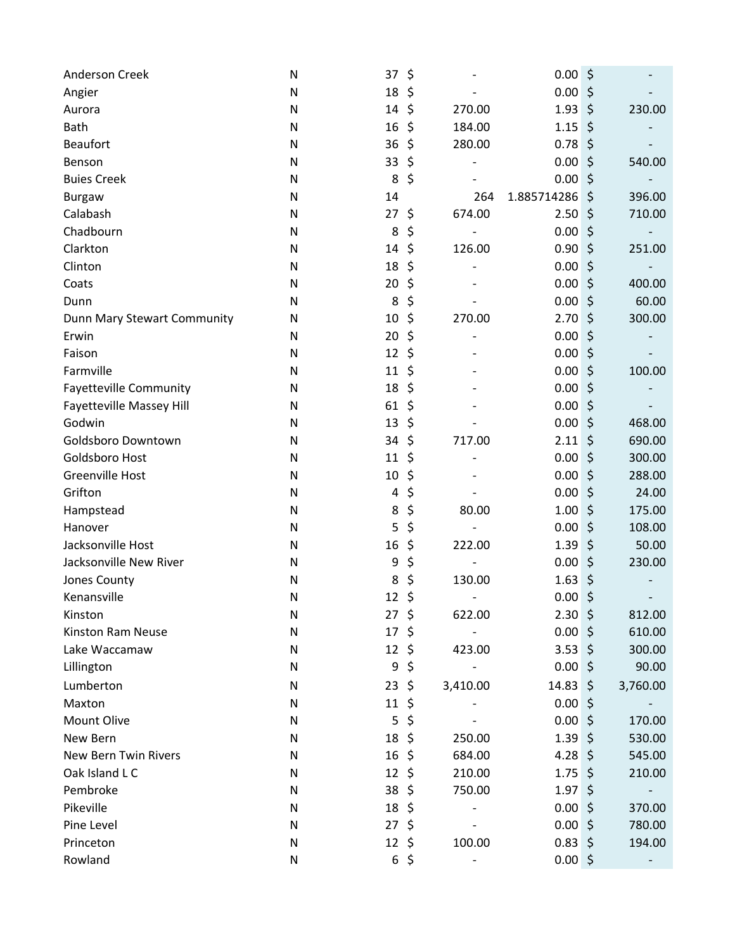| Anderson Creek                | N | 37               | \$       |          | 0.00             | \$      |                          |
|-------------------------------|---|------------------|----------|----------|------------------|---------|--------------------------|
| Angier                        | N | 18               | \$       |          | 0.00             | \$      |                          |
| Aurora                        | N | 14               | \$       | 270.00   | 1.93             | $\zeta$ | 230.00                   |
| <b>Bath</b>                   | N | 16               | \$       | 184.00   | 1.15             | $\zeta$ |                          |
| <b>Beaufort</b>               | N | 36               | \$       | 280.00   | 0.78             | $\zeta$ |                          |
| Benson                        | N | 33               | \$       |          | 0.00             | $\zeta$ | 540.00                   |
| <b>Buies Creek</b>            | N | 8                | \$       |          | 0.00             | $\zeta$ |                          |
| <b>Burgaw</b>                 | N | 14               |          | 264      | 1.885714286      | $\zeta$ | 396.00                   |
| Calabash                      | N | 27               | \$       | 674.00   | 2.50             | \$      | 710.00                   |
| Chadbourn                     | N | 8                | \$       |          | 0.00             | $\zeta$ |                          |
| Clarkton                      | N | 14               | \$       | 126.00   | 0.90             | \$      | 251.00                   |
| Clinton                       | N | 18               | \$       |          | 0.00             | $\zeta$ |                          |
| Coats                         | N | 20               | \$       |          | 0.00             | $\zeta$ | 400.00                   |
| Dunn                          | N | 8                | \$       |          | 0.00             | $\zeta$ | 60.00                    |
| Dunn Mary Stewart Community   | N | 10               | \$       | 270.00   | 2.70             | $\zeta$ | 300.00                   |
| Erwin                         | N | 20               | \$       |          | 0.00             | $\zeta$ |                          |
| Faison                        | N | 12               | \$       |          | 0.00             | $\zeta$ |                          |
| Farmville                     | N | 11               | \$       |          | 0.00             | $\zeta$ | 100.00                   |
| <b>Fayetteville Community</b> | N | 18               | \$       |          | 0.00             | $\zeta$ |                          |
| Fayetteville Massey Hill      | N | 61               | \$       |          | 0.00             | $\zeta$ |                          |
| Godwin                        | N | 13               | \$       |          | 0.00             | $\zeta$ | 468.00                   |
| Goldsboro Downtown            | N | 34               | \$       | 717.00   | 2.11             | $\zeta$ | 690.00                   |
| Goldsboro Host                | N | 11               | \$       |          | 0.00             | $\zeta$ | 300.00                   |
| <b>Greenville Host</b>        | N | 10               | \$       |          | 0.00             | \$      | 288.00                   |
| Grifton                       | N | 4                | \$       |          | 0.00             | $\zeta$ | 24.00                    |
| Hampstead                     | N | 8                | \$       | 80.00    | 1.00             | \$      | 175.00                   |
| Hanover                       | N | 5                | \$       |          | 0.00             | $\zeta$ | 108.00                   |
| Jacksonville Host             | N | 16               | \$       | 222.00   | 1.39             | \$      | 50.00                    |
| Jacksonville New River        | N | 9                | \$       |          | 0.00             | $\zeta$ | 230.00                   |
| Jones County                  | N | 8                | \$       | 130.00   | 1.63             | \$      |                          |
| Kenansville                   | N | 12               | \$       |          | 0.00             | \$      |                          |
| Kinston                       | N | 27               | \$       | 622.00   | $2.30$ \$        |         | 812.00                   |
| Kinston Ram Neuse             | N | 17               | \$       |          | $0.00$ \$        |         | 610.00                   |
| Lake Waccamaw                 | N | $12 \; \text{S}$ |          | 423.00   | $3.53 \; \simeq$ |         | 300.00                   |
| Lillington                    | N | 9                | \$       |          | 0.00%            |         | 90.00                    |
| Lumberton                     | N | $23 \; \zeta$    |          | 3,410.00 | $14.83 \; \zeta$ |         | 3,760.00                 |
| Maxton                        | N | 11               | \$       |          | 0.00%            |         |                          |
| <b>Mount Olive</b>            | N | 5                | \$       |          | $0.00$ \$        |         | 170.00                   |
| New Bern                      | N | 18               | \$       | 250.00   | $1.39$ \$        |         | 530.00                   |
| <b>New Bern Twin Rivers</b>   | N | $16 \; \text{S}$ |          | 684.00   | 4.28 \$          |         | 545.00                   |
| Oak Island L C                | N | $12 \; \text{S}$ |          | 210.00   | $1.75$ \$        |         | 210.00                   |
| Pembroke                      | N | 38, 5            |          | 750.00   | $1.97$ \$        |         |                          |
| Pikeville                     | N | 18, 5            |          |          | 0.00%            |         | 370.00                   |
| Pine Level                    | N | 27               | \$       |          | 0.00%            |         | 780.00                   |
| Princeton                     | N | 12, 5            |          | 100.00   | $0.83$ \$        |         | 194.00                   |
| Rowland                       | N |                  | $6\;$ \$ |          | $0.00$ \$        |         | $\overline{\phantom{a}}$ |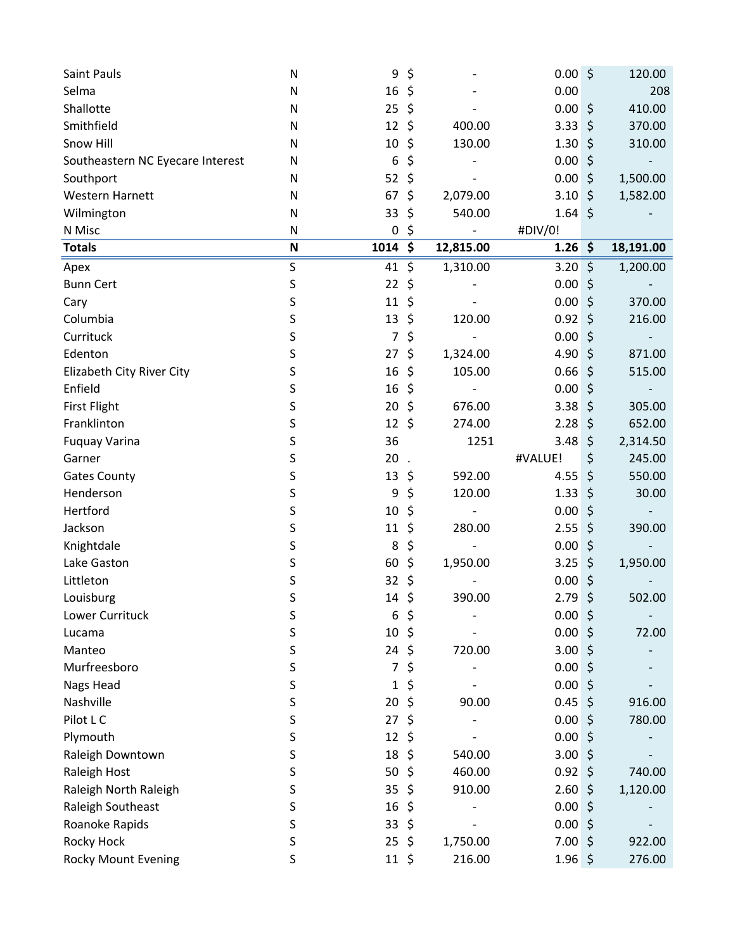| Saint Pauls                      | N                         | 9                | \$      |           | 0.00%             |         | 120.00    |
|----------------------------------|---------------------------|------------------|---------|-----------|-------------------|---------|-----------|
| Selma                            | N                         | 16               | \$      |           | 0.00              |         | 208       |
| Shallotte                        | $\mathsf{N}$              | 25               | \$      |           | 0.00%             |         | 410.00    |
| Smithfield                       | N                         | 12               | \$      | 400.00    | 3.33              | $\zeta$ | 370.00    |
| Snow Hill                        | $\mathsf{N}$              | 10               | \$      | 130.00    | $1.30 \div$       |         | 310.00    |
| Southeastern NC Eyecare Interest | N                         | 6                | \$      |           | 0.00              | $\zeta$ |           |
| Southport                        | N                         | 52               | \$      |           | 0.00              | $\zeta$ | 1,500.00  |
| <b>Western Harnett</b>           | N                         | 67               | \$      | 2,079.00  | $3.10 \div$       |         | 1,582.00  |
| Wilmington                       | N                         | 33               | \$      | 540.00    | $1.64 \;$ \$      |         |           |
| N Misc                           | N                         | $\pmb{0}$        | \$      |           | #DIV/0!           |         |           |
| <b>Totals</b>                    | $\boldsymbol{\mathsf{N}}$ | $1014$ \$        |         | 12,815.00 | $1.26 \; \simeq$  |         | 18,191.00 |
| Apex                             | $\sf S$                   | 41               | \$      | 1,310.00  | 3.20%             |         | 1,200.00  |
| <b>Bunn Cert</b>                 | S                         | 22               | \$      |           | 0.00%             |         |           |
| Cary                             | S                         | 11               | \$      |           | $0.00$ \$         |         | 370.00    |
| Columbia                         | S                         | 13               | \$      | 120.00    | 0.92              | \$      | 216.00    |
| Currituck                        | S                         | $\overline{7}$   | \$      |           | 0.00              | $\zeta$ |           |
| Edenton                          | S                         | 27               | \$      | 1,324.00  | 4.90 \$           |         | 871.00    |
| Elizabeth City River City        | S                         | 16               | \$      | 105.00    | 0.66              | \$      | 515.00    |
| Enfield                          | S                         | 16               | \$      |           | 0.00%             |         |           |
| <b>First Flight</b>              | S                         | 20               | \$      | 676.00    | $3.38\frac{1}{2}$ |         | 305.00    |
| Franklinton                      | S                         | 12               | \$      | 274.00    | 2.28              | \$      | 652.00    |
| <b>Fuquay Varina</b>             | S                         | 36               |         | 1251      | 3.48              | \$      | 2,314.50  |
| Garner                           | S                         | 20               |         |           | #VALUE!           | \$      | 245.00    |
| <b>Gates County</b>              | S                         | 13               | \$      | 592.00    | 4.55              | \$      | 550.00    |
| Henderson                        | S                         | 9                | \$      | 120.00    | 1.33              | \$      | 30.00     |
| Hertford                         | S                         | 10               | \$      |           | 0.00              | $\zeta$ |           |
| Jackson                          | S                         | 11               | \$      | 280.00    | 2.55              | \$      | 390.00    |
| Knightdale                       | S                         | 8                | \$      |           | 0.00              | \$      |           |
| Lake Gaston                      | S                         | 60               | \$      | 1,950.00  | 3.25              | $\zeta$ | 1,950.00  |
| Littleton                        | S                         | 32               | \$      |           | 0.00              | $\zeta$ |           |
| Louisburg                        | S                         | 14               | \$      | 390.00    | 2.79              | $\zeta$ | 502.00    |
| Lower Currituck                  | S                         | 6                | \$      |           | 0.00%             |         |           |
| Lucama                           | S                         | 10               | $\zeta$ |           | 0.00%             |         | 72.00     |
| Manteo                           | S                         | 24               | \$      | 720.00    | 3.00%             |         |           |
| Murfreesboro                     | S                         | 7                | \$      |           | $0.00$ \$         |         |           |
| Nags Head                        | S                         | 1                | \$      |           | 0.00%             |         |           |
| Nashville                        | S                         | 20               | \$      | 90.00     | $0.45 \; \xi$     |         | 916.00    |
| Pilot L C                        | S                         | 27               | \$      |           | 0.00%             |         | 780.00    |
| Plymouth                         | S                         | 12               | \$      |           | 0.00%             |         |           |
| Raleigh Downtown                 | S                         | 18               | \$      | 540.00    | 3.00%             |         |           |
| Raleigh Host                     | S                         | 50               | \$      | 460.00    | $0.92 \leq$       |         | 740.00    |
| Raleigh North Raleigh            | S                         | 35               | \$      | 910.00    | 2.60%             |         | 1,120.00  |
| Raleigh Southeast                | S                         | 16               | \$      |           | 0.00%             |         |           |
| Roanoke Rapids                   | S                         | 33               | \$      |           | 0.00%             |         |           |
| Rocky Hock                       | S                         | 25               | \$      | 1,750.00  | 7.00%             |         | 922.00    |
| Rocky Mount Evening              | S                         | $11 \; \text{S}$ |         | 216.00    | $1.96$ \$         |         | 276.00    |